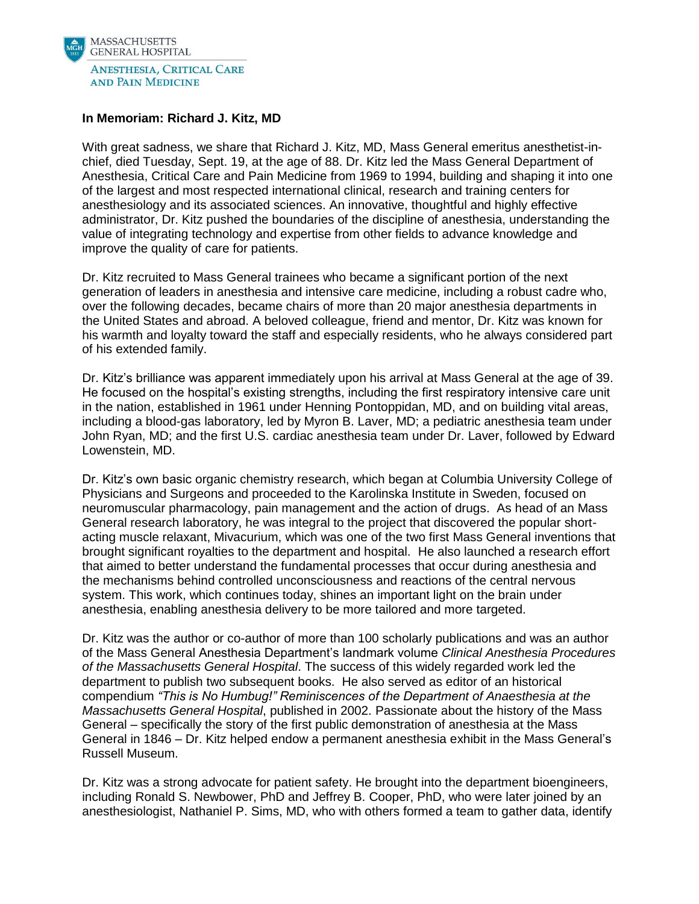

## **In Memoriam: Richard J. Kitz, MD**

With great sadness, we share that Richard J. Kitz, MD, Mass General emeritus anesthetist-inchief, died Tuesday, Sept. 19, at the age of 88. Dr. Kitz led the Mass General Department of Anesthesia, Critical Care and Pain Medicine from 1969 to 1994, building and shaping it into one of the largest and most respected international clinical, research and training centers for anesthesiology and its associated sciences. An innovative, thoughtful and highly effective administrator, Dr. Kitz pushed the boundaries of the discipline of anesthesia, understanding the value of integrating technology and expertise from other fields to advance knowledge and improve the quality of care for patients.

Dr. Kitz recruited to Mass General trainees who became a significant portion of the next generation of leaders in anesthesia and intensive care medicine, including a robust cadre who, over the following decades, became chairs of more than 20 major anesthesia departments in the United States and abroad. A beloved colleague, friend and mentor, Dr. Kitz was known for his warmth and loyalty toward the staff and especially residents, who he always considered part of his extended family.

Dr. Kitz's brilliance was apparent immediately upon his arrival at Mass General at the age of 39. He focused on the hospital's existing strengths, including the first respiratory intensive care unit in the nation, established in 1961 under Henning Pontoppidan, MD, and on building vital areas, including a blood-gas laboratory, led by Myron B. Laver, MD; a pediatric anesthesia team under John Ryan, MD; and the first U.S. cardiac anesthesia team under Dr. Laver, followed by Edward Lowenstein, MD.

Dr. Kitz's own basic organic chemistry research, which began at Columbia University College of Physicians and Surgeons and proceeded to the Karolinska Institute in Sweden, focused on neuromuscular pharmacology, pain management and the action of drugs. As head of an Mass General research laboratory, he was integral to the project that discovered the popular shortacting muscle relaxant, Mivacurium, which was one of the two first Mass General inventions that brought significant royalties to the department and hospital. He also launched a research effort that aimed to better understand the fundamental processes that occur during anesthesia and the mechanisms behind controlled unconsciousness and reactions of the central nervous system. This work, which continues today, shines an important light on the brain under anesthesia, enabling anesthesia delivery to be more tailored and more targeted.

Dr. Kitz was the author or co-author of more than 100 scholarly publications and was an author of the Mass General Anesthesia Department's landmark volume *Clinical Anesthesia Procedures of the Massachusetts General Hospital*. The success of this widely regarded work led the department to publish two subsequent books. He also served as editor of an historical compendium *"This is No Humbug!" Reminiscences of the Department of Anaesthesia at the Massachusetts General Hospital*, published in 2002. Passionate about the history of the Mass General – specifically the story of the first public demonstration of anesthesia at the Mass General in 1846 – Dr. Kitz helped endow a permanent anesthesia exhibit in the Mass General's Russell Museum.

Dr. Kitz was a strong advocate for patient safety. He brought into the department bioengineers, including Ronald S. Newbower, PhD and Jeffrey B. Cooper, PhD, who were later joined by an anesthesiologist, Nathaniel P. Sims, MD, who with others formed a team to gather data, identify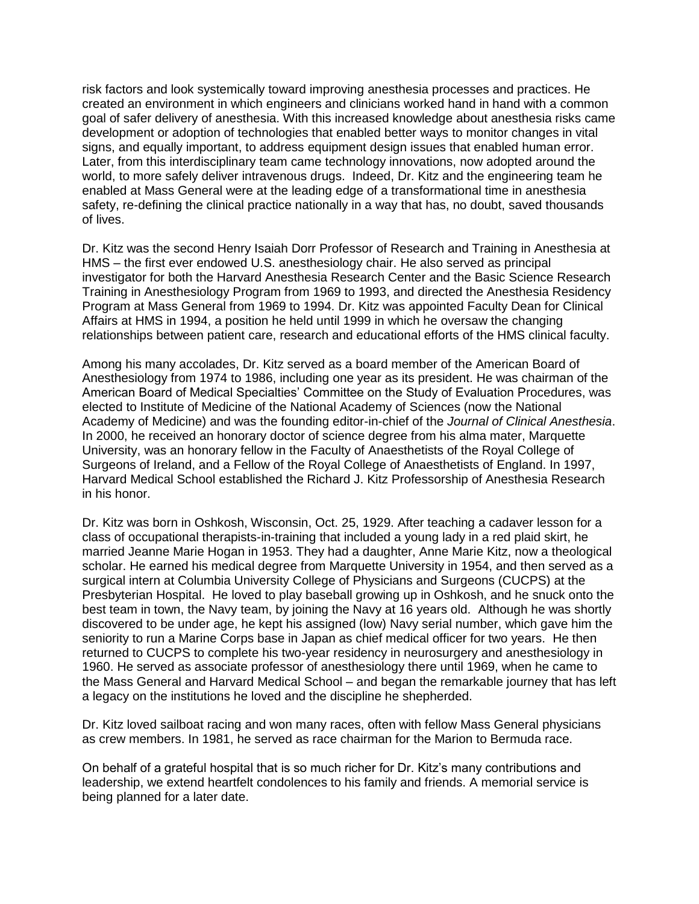risk factors and look systemically toward improving anesthesia processes and practices. He created an environment in which engineers and clinicians worked hand in hand with a common goal of safer delivery of anesthesia. With this increased knowledge about anesthesia risks came development or adoption of technologies that enabled better ways to monitor changes in vital signs, and equally important, to address equipment design issues that enabled human error. Later, from this interdisciplinary team came technology innovations, now adopted around the world, to more safely deliver intravenous drugs. Indeed, Dr. Kitz and the engineering team he enabled at Mass General were at the leading edge of a transformational time in anesthesia safety, re-defining the clinical practice nationally in a way that has, no doubt, saved thousands of lives.

Dr. Kitz was the second Henry Isaiah Dorr Professor of Research and Training in Anesthesia at HMS – the first ever endowed U.S. anesthesiology chair. He also served as principal investigator for both the Harvard Anesthesia Research Center and the Basic Science Research Training in Anesthesiology Program from 1969 to 1993, and directed the Anesthesia Residency Program at Mass General from 1969 to 1994. Dr. Kitz was appointed Faculty Dean for Clinical Affairs at HMS in 1994, a position he held until 1999 in which he oversaw the changing relationships between patient care, research and educational efforts of the HMS clinical faculty.

Among his many accolades, Dr. Kitz served as a board member of the American Board of Anesthesiology from 1974 to 1986, including one year as its president. He was chairman of the American Board of Medical Specialties' Committee on the Study of Evaluation Procedures, was elected to Institute of Medicine of the National Academy of Sciences (now the National Academy of Medicine) and was the founding editor-in-chief of the *Journal of Clinical Anesthesia*. In 2000, he received an honorary doctor of science degree from his alma mater, Marquette University, was an honorary fellow in the Faculty of Anaesthetists of the Royal College of Surgeons of Ireland, and a Fellow of the Royal College of Anaesthetists of England. In 1997, Harvard Medical School established the Richard J. Kitz Professorship of Anesthesia Research in his honor.

Dr. Kitz was born in Oshkosh, Wisconsin, Oct. 25, 1929. After teaching a cadaver lesson for a class of occupational therapists-in-training that included a young lady in a red plaid skirt, he married Jeanne Marie Hogan in 1953. They had a daughter, Anne Marie Kitz, now a theological scholar. He earned his medical degree from Marquette University in 1954, and then served as a surgical intern at Columbia University College of Physicians and Surgeons (CUCPS) at the Presbyterian Hospital. He loved to play baseball growing up in Oshkosh, and he snuck onto the best team in town, the Navy team, by joining the Navy at 16 years old. Although he was shortly discovered to be under age, he kept his assigned (low) Navy serial number, which gave him the seniority to run a Marine Corps base in Japan as chief medical officer for two years. He then returned to CUCPS to complete his two-year residency in neurosurgery and anesthesiology in 1960. He served as associate professor of anesthesiology there until 1969, when he came to the Mass General and Harvard Medical School – and began the remarkable journey that has left a legacy on the institutions he loved and the discipline he shepherded.

Dr. Kitz loved sailboat racing and won many races, often with fellow Mass General physicians as crew members. In 1981, he served as race chairman for the Marion to Bermuda race.

On behalf of a grateful hospital that is so much richer for Dr. Kitz's many contributions and leadership, we extend heartfelt condolences to his family and friends. A memorial service is being planned for a later date.